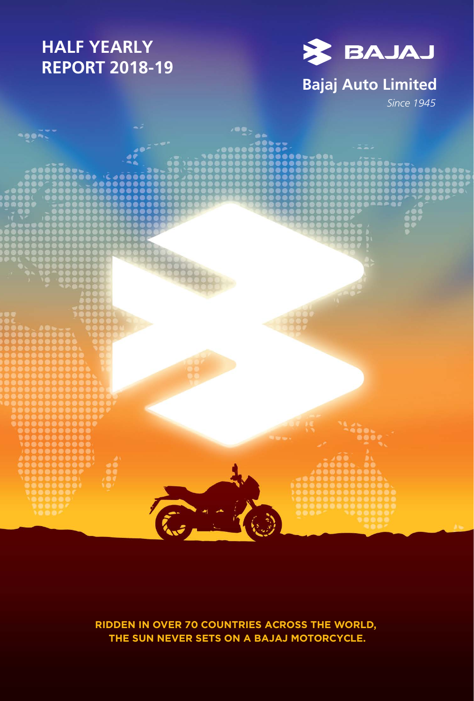# **HALF YEARLY REPORT 2018-19**



## **Bajaj Auto Limited**

*Since 1945*



**RIDDEN IN OVER 70 COUNTRIES ACROSS THE WORLD, THE SUN NEVER SETS ON A BAJAJ MOTORCYCLE.**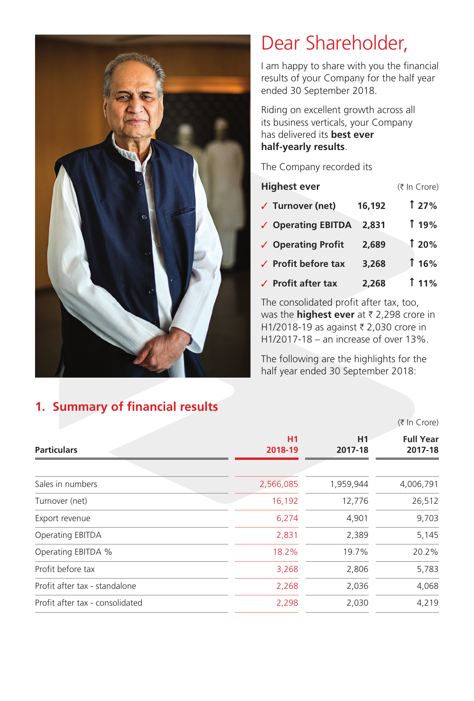

# Dear Shareholder,

I am happy to share with you the financial results of your Company for the half year ended 30 September 2018.

Riding on excellent growth across all its business verticals, your Company has delivered its **best ever half-yearly results**.

The Company recorded its

| <b>Highest ever</b>                    |        | (₹ In Crore) |
|----------------------------------------|--------|--------------|
| $\sqrt{ }$ Turnover (net)              | 16,192 | 127%         |
| ✓ Operating EBITDA                     | 2,831  | 119%         |
| ✓ Operating Profit                     | 2,689  | <b>120%</b>  |
| $\sqrt{\phantom{a}}$ Profit before tax | 3,268  | 116%         |
| $\sqrt{ }$ Profit after tax            | 2,268  | $11\%$       |

The consolidated profit after tax, too, was the **highest ever** at  $\bar{\tau}$  2,298 crore in H1/2018-19 as against ₹ 2,030 crore in H1/2017-18 – an increase of over 13%.

The following are the highlights for the half year ended 30 September 2018:

 $(F \ln Crora)$ 

|                                 |               | 11121015      |                             |  |  |
|---------------------------------|---------------|---------------|-----------------------------|--|--|
| <b>Particulars</b>              | H1<br>2018-19 | H1<br>2017-18 | <b>Full Year</b><br>2017-18 |  |  |
| Sales in numbers                | 2,566,085     | 1,959,944     | 4,006,791                   |  |  |
| Turnover (net)                  | 16,192        | 12,776        | 26,512                      |  |  |
| Export revenue                  | 6,274         | 4,901         | 9,703                       |  |  |
| Operating EBITDA                | 2,831         | 2,389         | 5,145                       |  |  |
| Operating EBITDA %              | 18.2%         | 19.7%         | 20.2%                       |  |  |
| Profit before tax               | 3,268         | 2,806         | 5,783                       |  |  |
| Profit after tax - standalone   | 2,268         | 2,036         | 4,068                       |  |  |
| Profit after tax - consolidated | 2,298         | 2,030         | 4,219                       |  |  |
|                                 |               |               |                             |  |  |

## **1. Summary of financial results**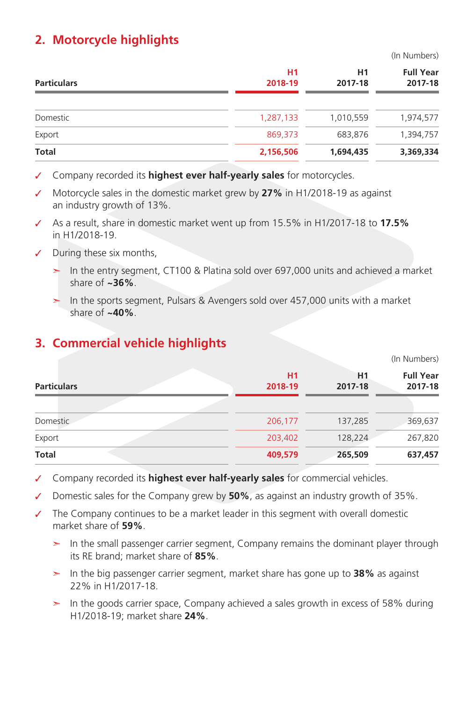#### **2. Motorcycle highlights**

(In Numbers)

(In Numbers)

| <b>Particulars</b> | H1<br>2018-19 | H1<br>2017-18 | <b>Full Year</b><br>2017-18 |
|--------------------|---------------|---------------|-----------------------------|
| Domestic           | 1,287,133     | 1,010,559     | 1,974,577                   |
| Export             | 869,373       | 683,876       | 1,394,757                   |
| <b>Total</b>       | 2,156,506     | 1,694,435     | 3,369,334                   |

- ✓ Company recorded its **highest ever half-yearly sales** for motorcycles.
- ✓ Motorcycle sales in the domestic market grew by **27%** in H1/2018-19 as against an industry growth of 13%.
- ✓ As a result, share in domestic market went up from 15.5% in H1/2017-18 to **17.5%** in H1/2018-19.
- ✓ During these six months,
	- ➣ In the entry segment, CT100 & Platina sold over 697,000 units and achieved a market share of **~36%**.
	- ➣ In the sports segment, Pulsars & Avengers sold over 457,000 units with a market share of **~40%**.

#### **3. Commercial vehicle highlights**

| $\frac{1}{2}$ |                           |                             |
|---------------|---------------------------|-----------------------------|
| H1<br>2018-19 | H <sub>1</sub><br>2017-18 | <b>Full Year</b><br>2017-18 |
|               |                           |                             |
| 206,177       | 137,285                   | 369,637                     |
| 203,402       | 128,224                   | 267,820                     |
| 409,579       | 265,509                   | 637,457                     |
|               |                           |                             |

✓ Company recorded its **highest ever half-yearly sales** for commercial vehicles.

✓ Domestic sales for the Company grew by **50%**, as against an industry growth of 35%.

- ✓ The Company continues to be a market leader in this segment with overall domestic market share of **59%**.
	- ➣ In the small passenger carrier segment, Company remains the dominant player through its RE brand; market share of **85%**.
	- ➣ In the big passenger carrier segment, market share has gone up to **38%** as against 22% in H1/2017-18.
	- $>$  In the goods carrier space, Company achieved a sales growth in excess of 58% during H1/2018-19; market share **24%**.